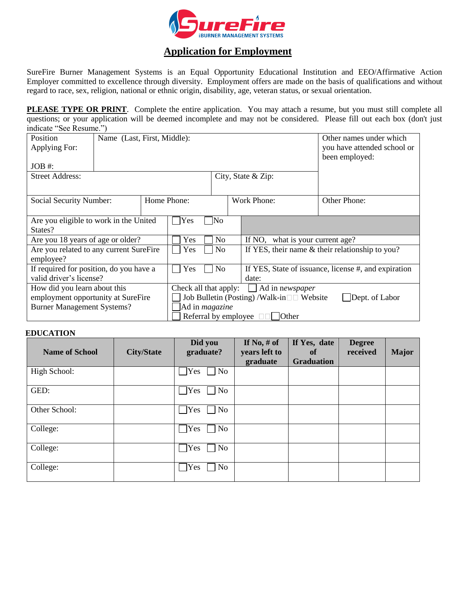

## **Application for Employment**

SureFire Burner Management Systems is an Equal Opportunity Educational Institution and EEO/Affirmative Action Employer committed to excellence through diversity. Employment offers are made on the basis of qualifications and without regard to race, sex, religion, national or ethnic origin, disability, age, veteran status, or sexual orientation.

**PLEASE TYPE OR PRINT**. Complete the entire application. You may attach a resume, but you must still complete all questions; or your application will be deemed incomplete and may not be considered. Please fill out each box (don't just indicate "See Resume.")

| Position<br>Applying For:               | Name (Last, First, Middle): |                                                             |                                                 |                |                                                 |                                                      | Other names under which<br>you have attended school or<br>been employed: |  |  |
|-----------------------------------------|-----------------------------|-------------------------------------------------------------|-------------------------------------------------|----------------|-------------------------------------------------|------------------------------------------------------|--------------------------------------------------------------------------|--|--|
| $JOB \#$ :                              |                             |                                                             |                                                 |                |                                                 |                                                      |                                                                          |  |  |
| <b>Street Address:</b>                  |                             |                                                             | City, State & Zip:                              |                |                                                 |                                                      |                                                                          |  |  |
| Social Security Number:                 |                             | Home Phone:                                                 |                                                 | Work Phone:    |                                                 | Other Phone:                                         |                                                                          |  |  |
| Are you eligible to work in the United  |                             |                                                             | Yes                                             | No]            |                                                 |                                                      |                                                                          |  |  |
| States?                                 |                             |                                                             |                                                 |                |                                                 |                                                      |                                                                          |  |  |
| Are you 18 years of age or older?       |                             |                                                             | Yes                                             | N <sub>o</sub> |                                                 | If NO.<br>what is your current age?                  |                                                                          |  |  |
| Are you related to any current SureFire |                             |                                                             | Yes                                             | N <sub>o</sub> | If YES, their name & their relationship to you? |                                                      |                                                                          |  |  |
| employee?                               |                             |                                                             |                                                 |                |                                                 |                                                      |                                                                          |  |  |
| If required for position, do you have a |                             |                                                             | Yes                                             | N <sub>o</sub> |                                                 | If YES, State of issuance, license #, and expiration |                                                                          |  |  |
| valid driver's license?                 |                             |                                                             | date:                                           |                |                                                 |                                                      |                                                                          |  |  |
| How did you learn about this            |                             |                                                             | Check all that apply:<br>$\Box$ Ad in newspaper |                |                                                 |                                                      |                                                                          |  |  |
| employment opportunity at SureFire      |                             | Job Bulletin (Posting) /Walk-in□□ Website<br>Dept. of Labor |                                                 |                |                                                 |                                                      |                                                                          |  |  |
| <b>Burner Management Systems?</b>       |                             | Ad in <i>magazine</i>                                       |                                                 |                |                                                 |                                                      |                                                                          |  |  |
|                                         |                             | Referral by employee $\Box$<br><b>Other</b>                 |                                                 |                |                                                 |                                                      |                                                                          |  |  |

## **EDUCATION**

| <b>Name of School</b> | <b>City/State</b> | Did you<br>graduate?  | If No, $#$ of<br>years left to<br>graduate | If Yes, date<br><sub>of</sub><br><b>Graduation</b> | <b>Degree</b><br>received | <b>Major</b> |
|-----------------------|-------------------|-----------------------|--------------------------------------------|----------------------------------------------------|---------------------------|--------------|
| High School:          |                   | No<br>Yes             |                                            |                                                    |                           |              |
| GED:                  |                   | N <sub>o</sub><br>Yes |                                            |                                                    |                           |              |
| Other School:         |                   | N <sub>o</sub><br>Yes |                                            |                                                    |                           |              |
| College:              |                   | No<br>Yes             |                                            |                                                    |                           |              |
| College:              |                   | No<br>Yes             |                                            |                                                    |                           |              |
| College:              |                   | No<br>Yes             |                                            |                                                    |                           |              |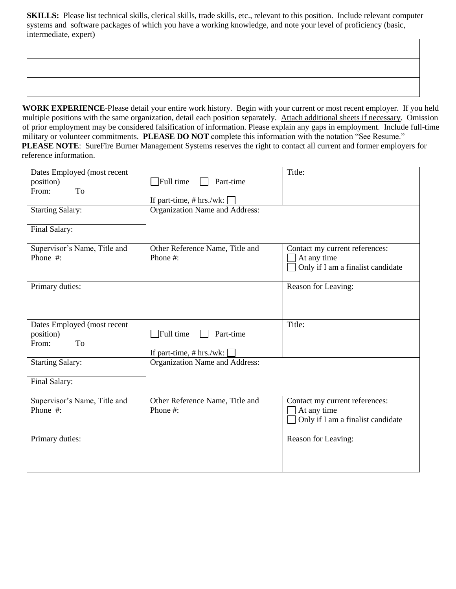**SKILLS:** Please list technical skills, clerical skills, trade skills, etc., relevant to this position. Include relevant computer systems and software packages of which you have a working knowledge, and note your level of proficiency (basic, intermediate, expert)

WORK EXPERIENCE-Please detail your entire work history. Begin with your current or most recent employer. If you held multiple positions with the same organization, detail each position separately. Attach additional sheets if necessary. Omission of prior employment may be considered falsification of information. Please explain any gaps in employment. Include full-time military or volunteer commitments. **PLEASE DO NOT** complete this information with the notation "See Resume." **PLEASE NOTE**: SureFire Burner Management Systems reserves the right to contact all current and former employers for reference information.

| Dates Employed (most recent<br>position)<br>From:<br>To<br><b>Starting Salary:</b><br>Final Salary: | $\exists$ Full time<br>Part-time<br>If part-time, $# hrs./wk:$<br>Organization Name and Address: | Title:                                                                             |
|-----------------------------------------------------------------------------------------------------|--------------------------------------------------------------------------------------------------|------------------------------------------------------------------------------------|
| Supervisor's Name, Title and<br>Phone #:                                                            | Other Reference Name, Title and<br>Phone #:                                                      | Contact my current references:<br>At any time<br>Only if I am a finalist candidate |
| Primary duties:                                                                                     |                                                                                                  | Reason for Leaving:                                                                |
| Dates Employed (most recent<br>position)<br>To<br>From:                                             | $\Box$ Full time<br>Part-time<br>If part-time, $# hrs./wk:$                                      | Title:                                                                             |
| <b>Starting Salary:</b><br>Final Salary:                                                            | Organization Name and Address:                                                                   |                                                                                    |
| Supervisor's Name, Title and<br>Phone #:                                                            | Other Reference Name, Title and<br>Phone #:                                                      | Contact my current references:<br>At any time<br>Only if I am a finalist candidate |
| Primary duties:                                                                                     |                                                                                                  | Reason for Leaving:                                                                |